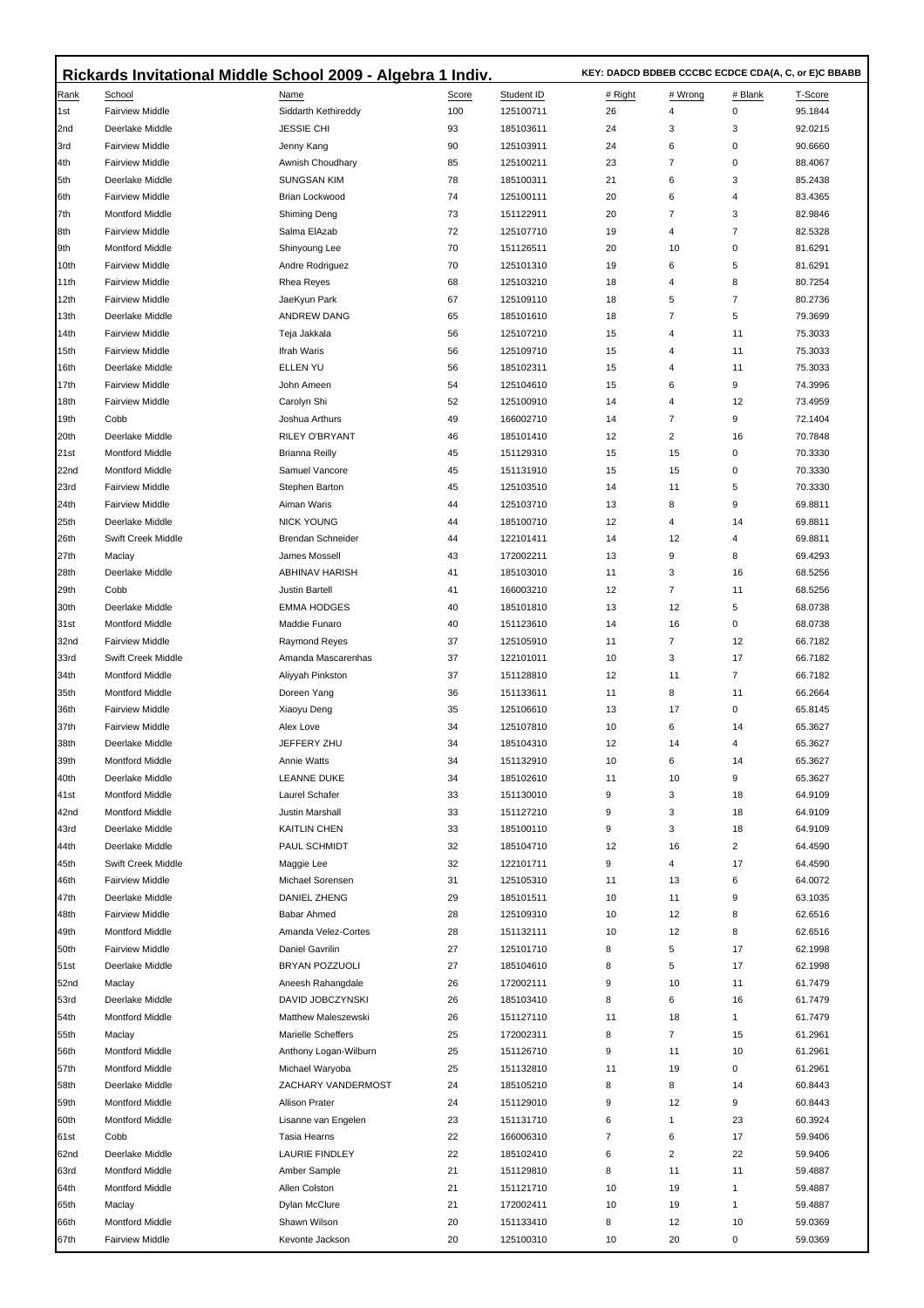|              | Rickards Invitational Middle School 2009 - Algebra 1 Indiv. |                            |          |                        |  | KEY: DADCD BDBEB CCCBC ECDCE CDA(A, C, or E)C BBABB |                |              |                    |  |
|--------------|-------------------------------------------------------------|----------------------------|----------|------------------------|--|-----------------------------------------------------|----------------|--------------|--------------------|--|
| Rank         | School                                                      | Name                       | Score    | Student ID             |  | # Right                                             | # Wrong        | # Blank      | T-Score            |  |
| 1st          | <b>Fairview Middle</b>                                      | Siddarth Kethireddy        | 100      | 125100711              |  | 26                                                  | 4              | 0            | 95.1844            |  |
| 2nd          | Deerlake Middle                                             | <b>JESSIE CHI</b>          | 93       | 185103611              |  | 24                                                  | 3              | 3            | 92.0215            |  |
| 3rd          | <b>Fairview Middle</b>                                      | Jenny Kang                 | 90       | 125103911              |  | 24                                                  | 6              | 0            | 90.6660            |  |
| 14th         | <b>Fairview Middle</b>                                      | Awnish Choudhary           | 85       | 125100211              |  | 23                                                  | 7              | 0            | 88.4067            |  |
| 5th          | Deerlake Middle                                             | <b>SUNGSAN KIM</b>         | 78       | 185100311              |  | 21                                                  | 6              | 3            | 85.2438            |  |
| ∥6th         | <b>Fairview Middle</b>                                      | Brian Lockwood             | 74       | 125100111              |  | 20                                                  | 6              | 4            | 83.4365            |  |
| 7th          | <b>Montford Middle</b>                                      | <b>Shiming Deng</b>        | 73       | 151122911              |  | 20                                                  | $\overline{7}$ | 3            | 82.9846            |  |
| 8th          | <b>Fairview Middle</b>                                      | Salma ElAzab               | 72       | 125107710              |  | 19                                                  | 4              | 7            | 82.5328            |  |
| 9th          | Montford Middle                                             | Shinyoung Lee              | 70       | 151126511              |  | 20                                                  | 10             | 0            | 81.6291            |  |
| 10th         | <b>Fairview Middle</b>                                      | Andre Rodriguez            | 70       | 125101310              |  | 19                                                  | 6              | 5            | 81.6291            |  |
| 11th         | <b>Fairview Middle</b>                                      | Rhea Reyes                 | 68       | 125103210              |  | 18                                                  | 4              | 8            | 80.7254            |  |
| 12th         | <b>Fairview Middle</b>                                      | JaeKyun Park               | 67       | 125109110              |  | 18                                                  | 5              | 7            | 80.2736            |  |
| 13th         | Deerlake Middle                                             | ANDREW DANG                | 65       | 185101610              |  | 18                                                  | 7              | 5            | 79.3699            |  |
| 14th         | <b>Fairview Middle</b>                                      | Teja Jakkala               | 56       | 125107210              |  | 15                                                  | 4              | 11           | 75.3033            |  |
| 15th         | <b>Fairview Middle</b>                                      | Ifrah Waris                | 56       | 125109710              |  | 15                                                  | 4              | 11           | 75.3033            |  |
| 16th         | Deerlake Middle                                             | ELLEN YU                   | 56       | 185102311              |  | 15                                                  | 4              | 11           | 75.3033            |  |
| 17th         | <b>Fairview Middle</b>                                      | John Ameen                 | 54       | 125104610              |  | 15                                                  | 6              | 9            | 74.3996            |  |
| 18th         | <b>Fairview Middle</b>                                      | Carolyn Shi                | 52       | 125100910              |  | 14                                                  | 4              | 12           | 73.4959            |  |
| 19th         | Cobb                                                        | Joshua Arthurs             | 49       | 166002710              |  | 14                                                  | $\overline{7}$ | 9            | 72.1404            |  |
| 20th         | Deerlake Middle                                             | <b>RILEY O'BRYANT</b>      | 46       | 185101410              |  | 12                                                  | $\overline{2}$ | 16           | 70.7848            |  |
| 21st         | Montford Middle                                             | <b>Brianna Reilly</b>      | 45       | 151129310              |  | 15                                                  | 15             | 0            | 70.3330            |  |
| 22nd         | <b>Montford Middle</b>                                      | Samuel Vancore             | 45       | 151131910              |  | 15                                                  | 15             | 0            | 70.3330            |  |
| 23rd         | <b>Fairview Middle</b>                                      | Stephen Barton             | 45       | 125103510              |  | 14                                                  | 11             | 5            | 70.3330            |  |
| 24th         | <b>Fairview Middle</b>                                      | Aiman Waris                | 44       | 125103710              |  | 13                                                  | 8              | 9            | 69.8811            |  |
| 25th         | Deerlake Middle                                             | <b>NICK YOUNG</b>          | 44       | 185100710              |  | 12                                                  | 4              | 14           | 69.8811            |  |
| 26th         | Swift Creek Middle                                          | Brendan Schneider          | 44       | 122101411              |  | 14                                                  | 12             | 4            | 69.8811            |  |
| 27th         | Maclay                                                      | James Mossell              | 43       | 172002211              |  | 13                                                  | 9              | 8            | 69.4293            |  |
| 28th         | Deerlake Middle                                             | <b>ABHINAV HARISH</b>      | 41       | 185103010              |  | 11                                                  | 3              | 16           | 68.5256            |  |
| 29th         | Cobb                                                        | Justin Bartell             | 41       | 166003210              |  | 12                                                  | $\overline{7}$ | 11           | 68.5256            |  |
| 30th         | Deerlake Middle                                             | <b>EMMA HODGES</b>         | 40       | 185101810              |  | 13                                                  | 12             | 5            | 68.0738            |  |
| 31st         | <b>Montford Middle</b>                                      | Maddie Funaro              | 40       | 151123610              |  | 14                                                  | 16             | 0            | 68.0738            |  |
| 32nd         | <b>Fairview Middle</b>                                      | Raymond Reyes              | 37       | 125105910              |  | 11                                                  | 7              | 12           | 66.7182            |  |
| 33rd         | Swift Creek Middle                                          | Amanda Mascarenhas         | 37       | 122101011              |  | 10                                                  | 3              | 17           | 66.7182            |  |
| 34th         | <b>Montford Middle</b>                                      | Aliyyah Pinkston           | 37       | 151128810              |  | 12                                                  | 11             | 7            | 66.7182            |  |
| 35th         | Montford Middle                                             | Doreen Yang<br>Xiaoyu Deng | 36       | 151133611              |  | 11                                                  | 8<br>17        | 11<br>0      | 66.2664            |  |
| 36th<br>37th | <b>Fairview Middle</b><br><b>Fairview Middle</b>            | Alex Love                  | 35<br>34 | 125106610<br>125107810 |  | 13<br>10                                            | 6              | 14           | 65.8145<br>65.3627 |  |
| 38th         | Deerlake Middle                                             | JEFFERY ZHU                | 34       | 185104310              |  | 12                                                  | 14             | 4            | 65.3627            |  |
| 39th         | Montford Middle                                             | Annie Watts                | 34       | 151132910              |  | 10                                                  | 6              | 14           | 65.3627            |  |
| 40th         | Deerlake Middle                                             | <b>LEANNE DUKE</b>         | 34       | 185102610              |  | 11                                                  | 10             | 9            | 65.3627            |  |
| 41st         | Montford Middle                                             | Laurel Schafer             | 33       | 151130010              |  | 9                                                   | 3              | 18           | 64.9109            |  |
| 42nd         | Montford Middle                                             | Justin Marshall            | 33       | 151127210              |  | 9                                                   | 3              | 18           | 64.9109            |  |
| 43rd         | Deerlake Middle                                             | <b>KAITLIN CHEN</b>        | 33       | 185100110              |  | 9                                                   | 3              | 18           | 64.9109            |  |
| 44th         | Deerlake Middle                                             | PAUL SCHMIDT               | 32       | 185104710              |  | 12                                                  | 16             | 2            | 64.4590            |  |
| 45th         | Swift Creek Middle                                          | Maggie Lee                 | 32       | 122101711              |  | 9                                                   | 4              | 17           | 64.4590            |  |
| 46th         | <b>Fairview Middle</b>                                      | Michael Sorensen           | 31       | 125105310              |  | 11                                                  | 13             | 6            | 64.0072            |  |
| 47th         | Deerlake Middle                                             | DANIEL ZHENG               | 29       | 185101511              |  | 10                                                  | 11             | 9            | 63.1035            |  |
| 48th         | <b>Fairview Middle</b>                                      | Babar Ahmed                | 28       | 125109310              |  | 10                                                  | 12             | 8            | 62.6516            |  |
| 49th         | <b>Montford Middle</b>                                      | Amanda Velez-Cortes        | 28       | 151132111              |  | 10                                                  | 12             | 8            | 62.6516            |  |
| 50th         | <b>Fairview Middle</b>                                      | Daniel Gavrilin            | 27       | 125101710              |  | 8                                                   | 5              | 17           | 62.1998            |  |
| <b>51st</b>  | Deerlake Middle                                             | BRYAN POZZUOLI             | 27       | 185104610              |  | 8                                                   | 5              | 17           | 62.1998            |  |
| 52nd         | Maclay                                                      | Aneesh Rahangdale          | 26       | 172002111              |  | 9                                                   | 10             | 11           | 61.7479            |  |
| 53rd         | Deerlake Middle                                             | DAVID JOBCZYNSKI           | 26       | 185103410              |  | 8                                                   | 6              | 16           | 61.7479            |  |
| 54th         | <b>Montford Middle</b>                                      | Matthew Maleszewski        | 26       | 151127110              |  | 11                                                  | 18             | 1            | 61.7479            |  |
| 55th         | Maclay                                                      | <b>Marielle Scheffers</b>  | 25       | 172002311              |  | 8                                                   | $\overline{7}$ | 15           | 61.2961            |  |
| 56th         | Montford Middle                                             | Anthony Logan-Wilburn      | 25       | 151126710              |  | 9                                                   | 11             | 10           | 61.2961            |  |
| 57th         | <b>Montford Middle</b>                                      | Michael Waryoba            | 25       | 151132810              |  | 11                                                  | 19             | 0            | 61.2961            |  |
| 58th         | Deerlake Middle                                             | ZACHARY VANDERMOST         | 24       | 185105210              |  | 8                                                   | 8              | 14           | 60.8443            |  |
| 59th         | Montford Middle                                             | <b>Allison Prater</b>      | 24       | 151129010              |  | 9                                                   | 12             | 9            | 60.8443            |  |
| 60th         | <b>Montford Middle</b>                                      | Lisanne van Engelen        | 23       | 151131710              |  | 6                                                   | $\mathbf{1}$   | 23           | 60.3924            |  |
| 61st         | Cobb                                                        | Tasia Hearns               | 22       | 166006310              |  | 7                                                   | 6              | 17           | 59.9406            |  |
| 62nd         | Deerlake Middle                                             | <b>LAURIE FINDLEY</b>      | 22       | 185102410              |  | 6                                                   | 2              | 22           | 59.9406            |  |
| 63rd         | <b>Montford Middle</b>                                      | Amber Sample               | 21       | 151129810              |  | 8                                                   | 11             | 11           | 59.4887            |  |
| 64th         | <b>Montford Middle</b>                                      | Allen Colston              | 21       | 151121710              |  | 10                                                  | 19             | $\mathbf{1}$ | 59.4887            |  |
| 65th         | Maclay                                                      | Dylan McClure              | 21       | 172002411              |  | 10                                                  | 19             | 1            | 59.4887            |  |
| 66th         | <b>Montford Middle</b>                                      | Shawn Wilson               | 20       | 151133410              |  | 8                                                   | 12             | 10           | 59.0369            |  |
| 67th         | <b>Fairview Middle</b>                                      | Kevonte Jackson            | 20       | 125100310              |  | 10                                                  | 20             | 0            | 59.0369            |  |